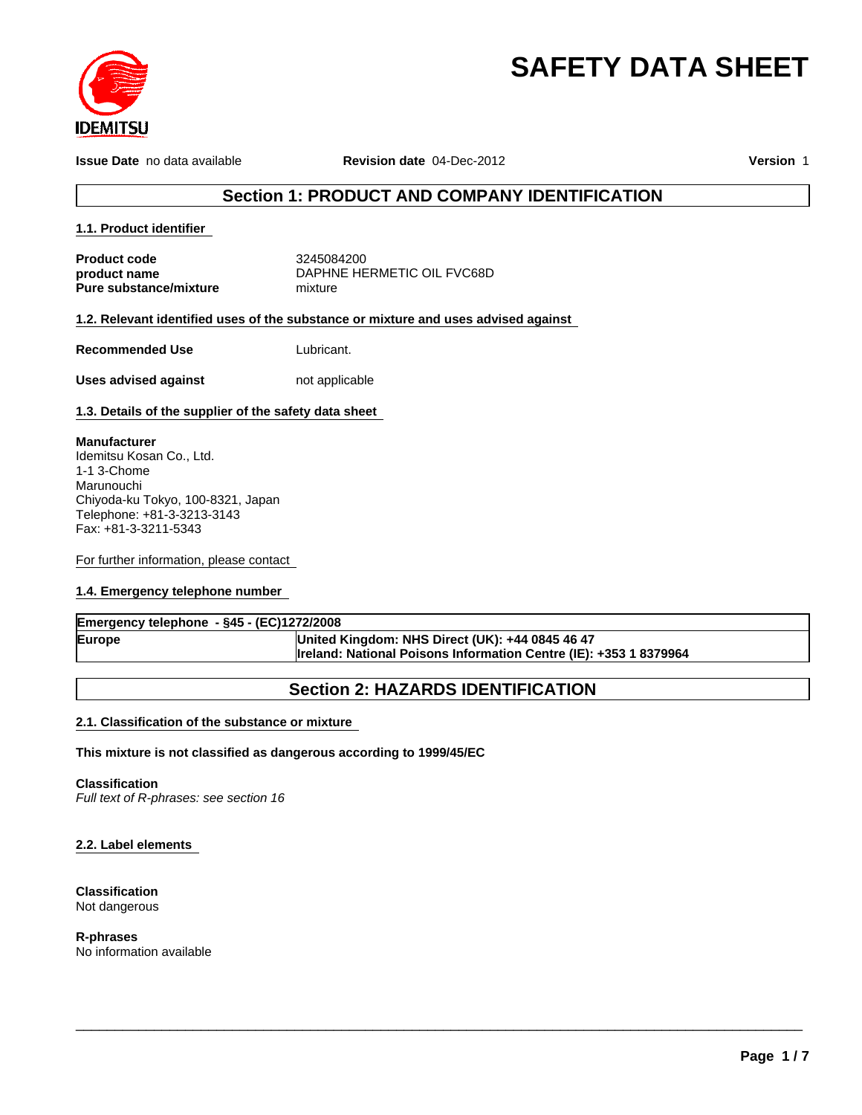

# **SAFETY DATA SHEET**

**Issue Date** no data available **Revision date** 04-Dec-2012 **Version** 1

# **Section 1: PRODUCT AND COMPANY IDENTIFICATION**

#### **1.1. Product identifier**

**Product code**

**product name**

**Pure substance/mixture**

mixture 3245084200 DAPHNE HERMETIC OIL FVC68D

#### **1.2. Relevant identified uses of the substance or mixture and uses advised against**

**Recommended Use**

Lubricant.

**Uses advised against** not applicable

#### **1.3. Details of the supplier of the safety data sheet**

#### **Manufacturer**

Idemitsu Kosan Co., Ltd. 1-1 3-Chome Marunouchi Chiyoda-ku Tokyo, 100-8321, Japan Telephone: +81-3-3213-3143 Fax: +81-3-3211-5343

For further information, please contact

#### **1.4. Emergency telephone number**

| Emergency telephone - §45 - (EC)1272/2008 |                                                                          |  |  |
|-------------------------------------------|--------------------------------------------------------------------------|--|--|
| Europe                                    | United Kingdom: NHS Direct (UK): +44 0845 46 47                          |  |  |
|                                           | <b>Ireland: National Poisons Information Centre (IE): +353 1 8379964</b> |  |  |

# **Section 2: HAZARDS IDENTIFICATION**

\_\_\_\_\_\_\_\_\_\_\_\_\_\_\_\_\_\_\_\_\_\_\_\_\_\_\_\_\_\_\_\_\_\_\_\_\_\_\_\_\_\_\_\_\_\_\_\_\_\_\_\_\_\_\_\_\_\_\_\_\_\_\_\_\_\_\_\_\_\_\_\_\_\_\_\_\_\_\_\_\_\_\_\_\_\_\_\_\_\_\_\_\_

### **2.1. Classification of the substance or mixture**

#### **This mixture is not classified as dangerous according to 1999/45/EC**

#### **Classification**

*Full text of R-phrases: see section 16*

#### **2.2. Label elements**

#### **Classification** Not dangerous

**R-phrases** No information available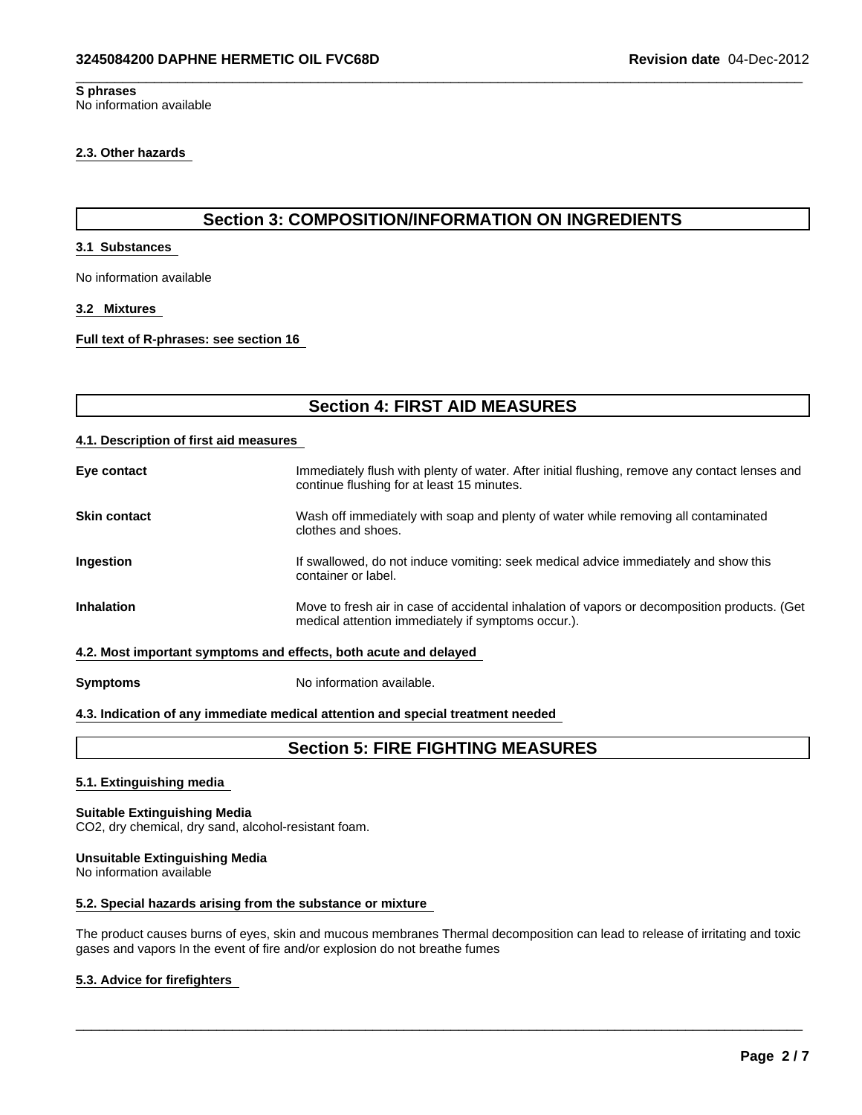#### **S phrases** No information available

#### **2.3. Other hazards**

# **Section 3: COMPOSITION/INFORMATION ON INGREDIENTS**

 $\overline{\phantom{a}}$  ,  $\overline{\phantom{a}}$  ,  $\overline{\phantom{a}}$  ,  $\overline{\phantom{a}}$  ,  $\overline{\phantom{a}}$  ,  $\overline{\phantom{a}}$  ,  $\overline{\phantom{a}}$  ,  $\overline{\phantom{a}}$  ,  $\overline{\phantom{a}}$  ,  $\overline{\phantom{a}}$  ,  $\overline{\phantom{a}}$  ,  $\overline{\phantom{a}}$  ,  $\overline{\phantom{a}}$  ,  $\overline{\phantom{a}}$  ,  $\overline{\phantom{a}}$  ,  $\overline{\phantom{a}}$ 

#### **3.1 Substances**

No information available

#### **3.2 Mixtures**

**Full text of R-phrases: see section 16** 

| <b>Section 4: FIRST AID MEASURES</b>   |                                                                                                                                                    |  |  |  |
|----------------------------------------|----------------------------------------------------------------------------------------------------------------------------------------------------|--|--|--|
| 4.1. Description of first aid measures |                                                                                                                                                    |  |  |  |
| Eye contact                            | Immediately flush with plenty of water. After initial flushing, remove any contact lenses and<br>continue flushing for at least 15 minutes.        |  |  |  |
| <b>Skin contact</b>                    | Wash off immediately with soap and plenty of water while removing all contaminated<br>clothes and shoes.                                           |  |  |  |
| Ingestion                              | If swallowed, do not induce vomiting: seek medical advice immediately and show this<br>container or label.                                         |  |  |  |
| <b>Inhalation</b>                      | Move to fresh air in case of accidental inhalation of vapors or decomposition products. (Get<br>medical attention immediately if symptoms occur.). |  |  |  |
|                                        | 4.2. Most important symptoms and effects, both acute and delayed                                                                                   |  |  |  |
| <b>Symptoms</b>                        | No information available.                                                                                                                          |  |  |  |

#### **4.3. Indication of any immediate medical attention and special treatment needed**

# **Section 5: FIRE FIGHTING MEASURES**

#### **5.1. Extinguishing media**

#### **Suitable Extinguishing Media** CO2, dry chemical, dry sand, alcohol-resistant foam.

#### **Unsuitable Extinguishing Media**

No information available

#### **5.2. Special hazards arising from the substance or mixture**

The product causes burns of eyes, skin and mucous membranes Thermal decomposition can lead to release of irritating and toxic gases and vapors In the event of fire and/or explosion do not breathe fumes

\_\_\_\_\_\_\_\_\_\_\_\_\_\_\_\_\_\_\_\_\_\_\_\_\_\_\_\_\_\_\_\_\_\_\_\_\_\_\_\_\_\_\_\_\_\_\_\_\_\_\_\_\_\_\_\_\_\_\_\_\_\_\_\_\_\_\_\_\_\_\_\_\_\_\_\_\_\_\_\_\_\_\_\_\_\_\_\_\_\_\_\_\_

#### **5.3. Advice for firefighters**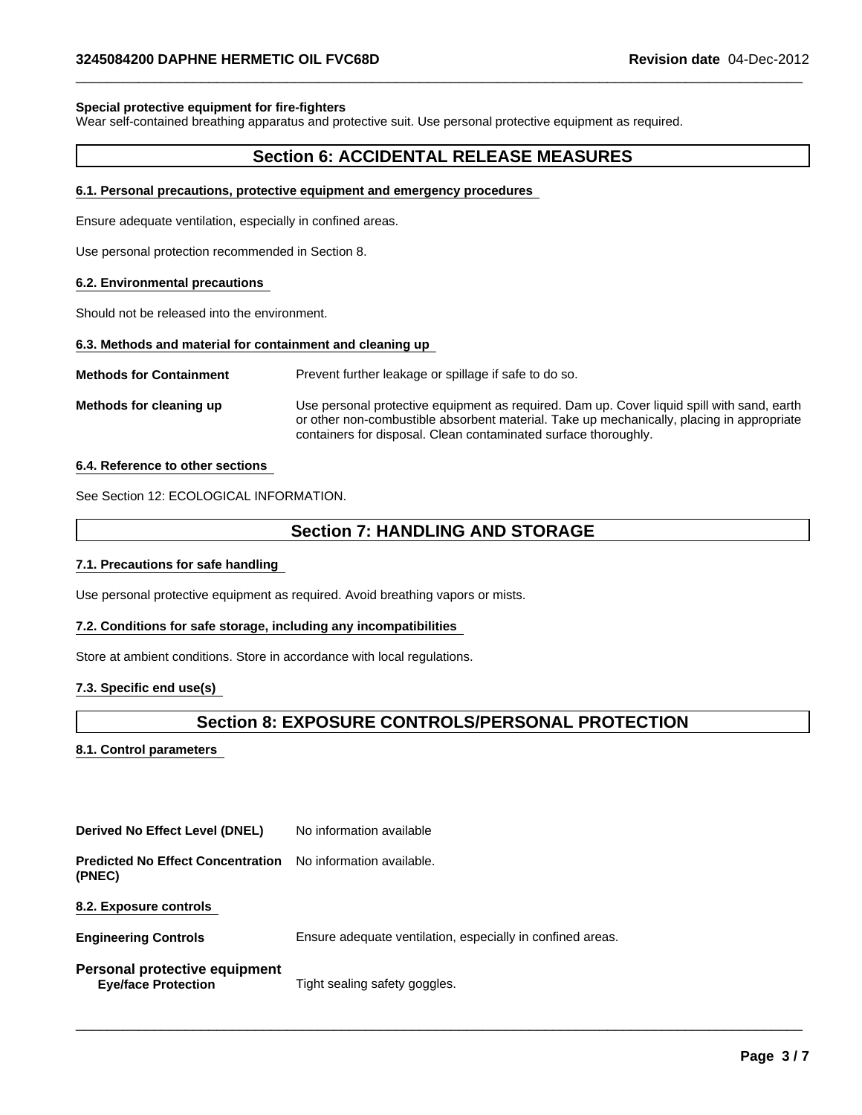#### **Special protective equipment for fire-fighters**

Wear self-contained breathing apparatus and protective suit. Use personal protective equipment as required.

#### **Section 6: ACCIDENTAL RELEASE MEASURES**

 $\overline{\phantom{a}}$  ,  $\overline{\phantom{a}}$  ,  $\overline{\phantom{a}}$  ,  $\overline{\phantom{a}}$  ,  $\overline{\phantom{a}}$  ,  $\overline{\phantom{a}}$  ,  $\overline{\phantom{a}}$  ,  $\overline{\phantom{a}}$  ,  $\overline{\phantom{a}}$  ,  $\overline{\phantom{a}}$  ,  $\overline{\phantom{a}}$  ,  $\overline{\phantom{a}}$  ,  $\overline{\phantom{a}}$  ,  $\overline{\phantom{a}}$  ,  $\overline{\phantom{a}}$  ,  $\overline{\phantom{a}}$ 

#### **6.1. Personal precautions, protective equipment and emergency procedures**

Ensure adequate ventilation, especially in confined areas.

Use personal protection recommended in Section 8.

#### **6.2. Environmental precautions**

Should not be released into the environment.

#### **6.3. Methods and material for containment and cleaning up**

**Methods for Containment** Prevent further leakage or spillage if safe to do so.

**Methods for cleaning up** Use personal protective equipment as required. Dam up. Cover liquid spill with sand, earth or other non-combustible absorbent material. Take up mechanically, placing in appropriate containers for disposal. Clean contaminated surface thoroughly.

#### **6.4. Reference to other sections**

See Section 12: ECOLOGICAL INFORMATION.

## **Section 7: HANDLING AND STORAGE**

#### **7.1. Precautions for safe handling**

Use personal protective equipment as required. Avoid breathing vapors or mists.

#### **7.2. Conditions for safe storage, including any incompatibilities**

Store at ambient conditions. Store in accordance with local regulations.

#### **7.3. Specific end use(s)**

## **Section 8: EXPOSURE CONTROLS/PERSONAL PROTECTION**

\_\_\_\_\_\_\_\_\_\_\_\_\_\_\_\_\_\_\_\_\_\_\_\_\_\_\_\_\_\_\_\_\_\_\_\_\_\_\_\_\_\_\_\_\_\_\_\_\_\_\_\_\_\_\_\_\_\_\_\_\_\_\_\_\_\_\_\_\_\_\_\_\_\_\_\_\_\_\_\_\_\_\_\_\_\_\_\_\_\_\_\_\_

#### **8.1. Control parameters**

**Derived No Effect Level (DNEL)** No information available

**Predicted No Effect Concentration** No information available. **(PNEC)**

**8.2. Exposure controls** 

| <b>Engineering Controls</b> | Ensure adequate ventilation, especially in confined areas. |
|-----------------------------|------------------------------------------------------------|
|-----------------------------|------------------------------------------------------------|

**Personal protective equipment Eye/face Protection** Tight sealing safety goggles.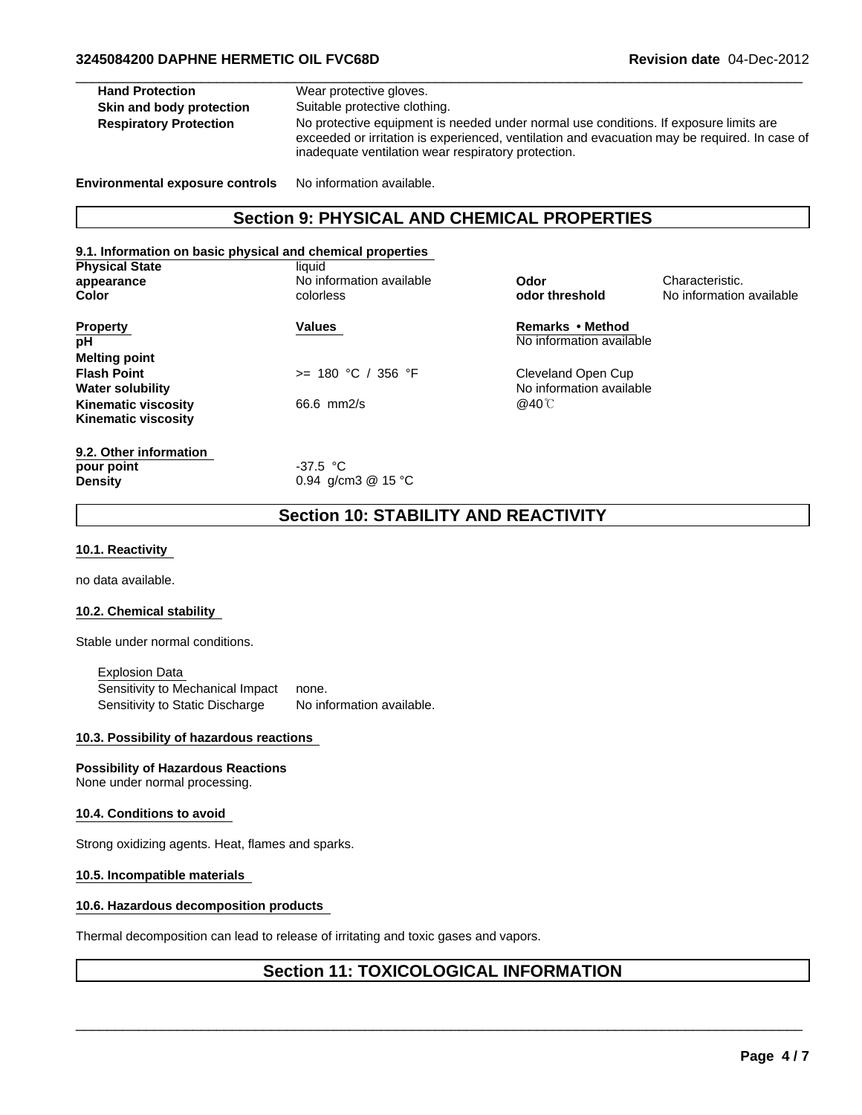| <b>Section 9: PHYSICAL AND CHEMICAL PROPERTIES</b> |                                                                                                                                                                                                                                               |  |  |
|----------------------------------------------------|-----------------------------------------------------------------------------------------------------------------------------------------------------------------------------------------------------------------------------------------------|--|--|
| <b>Environmental exposure controls</b>             | No information available.                                                                                                                                                                                                                     |  |  |
| <b>Respiratory Protection</b>                      | No protective equipment is needed under normal use conditions. If exposure limits are<br>exceeded or irritation is experienced, ventilation and evacuation may be required. In case of<br>inadequate ventilation wear respiratory protection. |  |  |
| Skin and body protection                           | Suitable protective clothing.                                                                                                                                                                                                                 |  |  |
| <b>Hand Protection</b>                             | Wear protective gloves.                                                                                                                                                                                                                       |  |  |

| 9.1. Information on basic physical and chemical properties |  |  |  |  |  |
|------------------------------------------------------------|--|--|--|--|--|
|                                                            |  |  |  |  |  |
|                                                            |  |  |  |  |  |
|                                                            |  |  |  |  |  |
|                                                            |  |  |  |  |  |
|                                                            |  |  |  |  |  |
|                                                            |  |  |  |  |  |
|                                                            |  |  |  |  |  |
|                                                            |  |  |  |  |  |
|                                                            |  |  |  |  |  |
|                                                            |  |  |  |  |  |
|                                                            |  |  |  |  |  |
|                                                            |  |  |  |  |  |
|                                                            |  |  |  |  |  |
|                                                            |  |  |  |  |  |
|                                                            |  |  |  |  |  |

**Section 10: STABILITY AND REACTIVITY**

#### **10.1. Reactivity**

no data available.

#### **10.2. Chemical stability**

Stable under normal conditions.

Explosion Data Sensitivity to Mechanical Impact none. Sensitivity to Static Discharge No information available.

#### **10.3. Possibility of hazardous reactions**

**Possibility of Hazardous Reactions** None under normal processing.

#### **10.4. Conditions to avoid**

Strong oxidizing agents. Heat, flames and sparks.

#### **10.5. Incompatible materials**

#### **10.6. Hazardous decomposition products**

Thermal decomposition can lead to release of irritating and toxic gases and vapors.

# **Section 11: TOXICOLOGICAL INFORMATION**

\_\_\_\_\_\_\_\_\_\_\_\_\_\_\_\_\_\_\_\_\_\_\_\_\_\_\_\_\_\_\_\_\_\_\_\_\_\_\_\_\_\_\_\_\_\_\_\_\_\_\_\_\_\_\_\_\_\_\_\_\_\_\_\_\_\_\_\_\_\_\_\_\_\_\_\_\_\_\_\_\_\_\_\_\_\_\_\_\_\_\_\_\_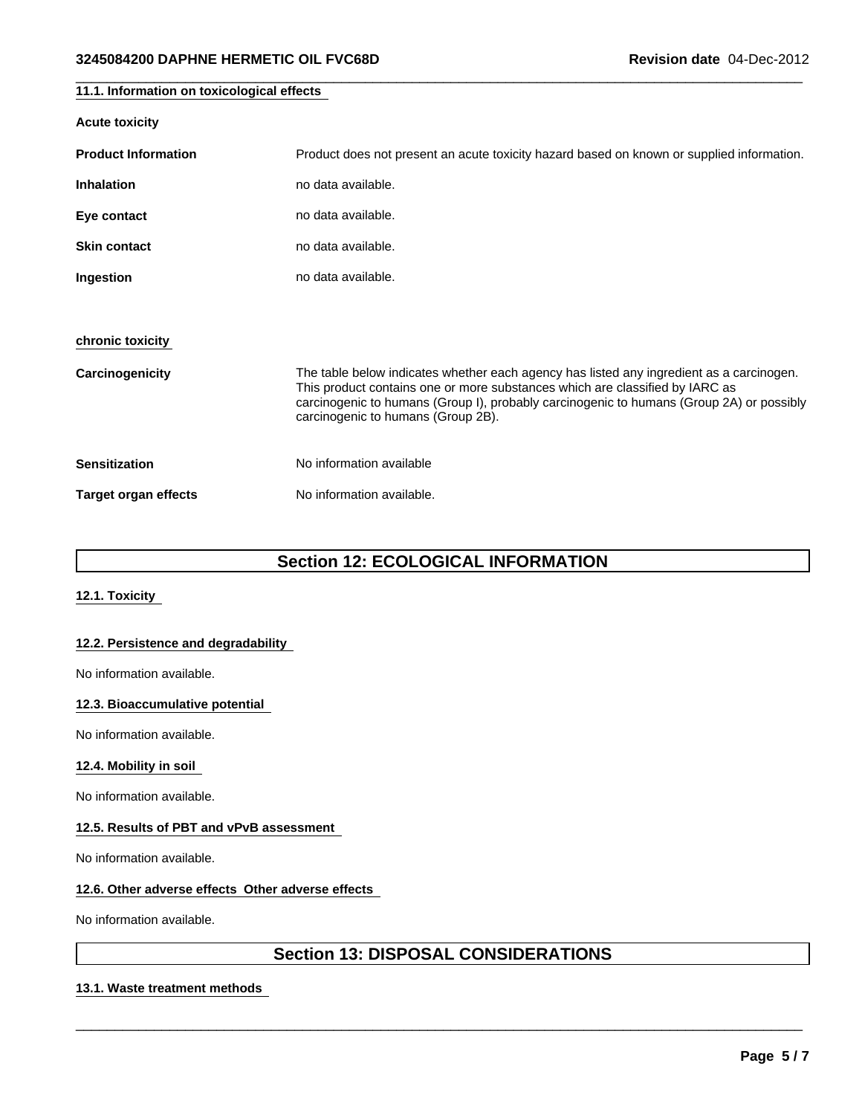| 11.1. Information on toxicological effects |                                                                                                                                                                                                                                                                                                            |  |  |
|--------------------------------------------|------------------------------------------------------------------------------------------------------------------------------------------------------------------------------------------------------------------------------------------------------------------------------------------------------------|--|--|
| <b>Acute toxicity</b>                      |                                                                                                                                                                                                                                                                                                            |  |  |
| <b>Product Information</b>                 | Product does not present an acute toxicity hazard based on known or supplied information.                                                                                                                                                                                                                  |  |  |
| <b>Inhalation</b>                          | no data available.                                                                                                                                                                                                                                                                                         |  |  |
| Eye contact                                | no data available.                                                                                                                                                                                                                                                                                         |  |  |
| <b>Skin contact</b>                        | no data available.                                                                                                                                                                                                                                                                                         |  |  |
| Ingestion                                  | no data available.                                                                                                                                                                                                                                                                                         |  |  |
|                                            |                                                                                                                                                                                                                                                                                                            |  |  |
| chronic toxicity                           |                                                                                                                                                                                                                                                                                                            |  |  |
| Carcinogenicity                            | The table below indicates whether each agency has listed any ingredient as a carcinogen.<br>This product contains one or more substances which are classified by IARC as<br>carcinogenic to humans (Group I), probably carcinogenic to humans (Group 2A) or possibly<br>carcinogenic to humans (Group 2B). |  |  |
| <b>Sensitization</b>                       | No information available                                                                                                                                                                                                                                                                                   |  |  |
| <b>Target organ effects</b>                | No information available.                                                                                                                                                                                                                                                                                  |  |  |

 $\overline{\phantom{a}}$  ,  $\overline{\phantom{a}}$  ,  $\overline{\phantom{a}}$  ,  $\overline{\phantom{a}}$  ,  $\overline{\phantom{a}}$  ,  $\overline{\phantom{a}}$  ,  $\overline{\phantom{a}}$  ,  $\overline{\phantom{a}}$  ,  $\overline{\phantom{a}}$  ,  $\overline{\phantom{a}}$  ,  $\overline{\phantom{a}}$  ,  $\overline{\phantom{a}}$  ,  $\overline{\phantom{a}}$  ,  $\overline{\phantom{a}}$  ,  $\overline{\phantom{a}}$  ,  $\overline{\phantom{a}}$ 

# **Section 12: ECOLOGICAL INFORMATION**

#### **12.1. Toxicity**

#### **12.2. Persistence and degradability**

No information available.

#### **12.3. Bioaccumulative potential**

No information available.

#### **12.4. Mobility in soil**

No information available.

#### **12.5. Results of PBT and vPvB assessment**

No information available.

#### **12.6. Other adverse effects Other adverse effects**

No information available.

# **Section 13: DISPOSAL CONSIDERATIONS**

\_\_\_\_\_\_\_\_\_\_\_\_\_\_\_\_\_\_\_\_\_\_\_\_\_\_\_\_\_\_\_\_\_\_\_\_\_\_\_\_\_\_\_\_\_\_\_\_\_\_\_\_\_\_\_\_\_\_\_\_\_\_\_\_\_\_\_\_\_\_\_\_\_\_\_\_\_\_\_\_\_\_\_\_\_\_\_\_\_\_\_\_\_

#### **13.1. Waste treatment methods**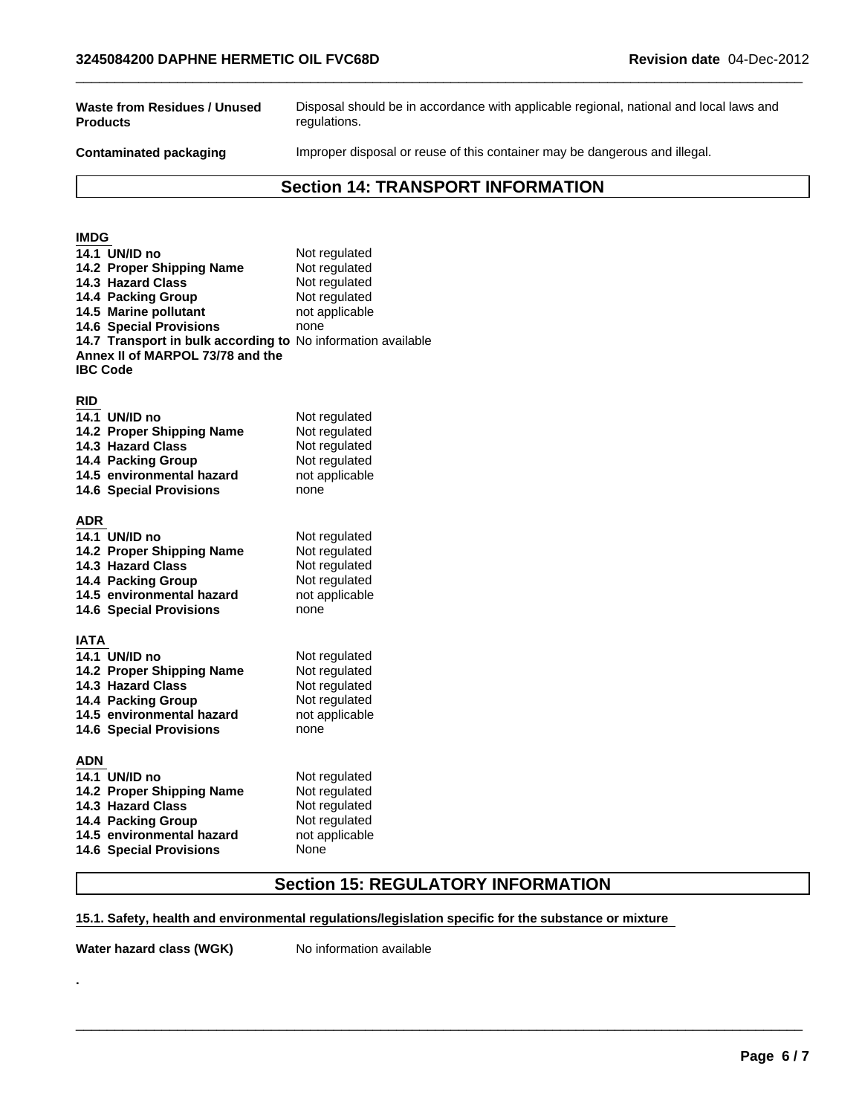**Waste from Residues / Unused Products**

Disposal should be in accordance with applicable regional, national and local laws and regulations.

Contaminated packaging **IMPROPED IMPROPED INCO** Inproper disposal or reuse of this container may be dangerous and illegal.

 $\overline{\phantom{a}}$  ,  $\overline{\phantom{a}}$  ,  $\overline{\phantom{a}}$  ,  $\overline{\phantom{a}}$  ,  $\overline{\phantom{a}}$  ,  $\overline{\phantom{a}}$  ,  $\overline{\phantom{a}}$  ,  $\overline{\phantom{a}}$  ,  $\overline{\phantom{a}}$  ,  $\overline{\phantom{a}}$  ,  $\overline{\phantom{a}}$  ,  $\overline{\phantom{a}}$  ,  $\overline{\phantom{a}}$  ,  $\overline{\phantom{a}}$  ,  $\overline{\phantom{a}}$  ,  $\overline{\phantom{a}}$ 

# **Section 14: TRANSPORT INFORMATION**

| <b>IMDG</b>                                                                                                                                                         |                                                                                            |
|---------------------------------------------------------------------------------------------------------------------------------------------------------------------|--------------------------------------------------------------------------------------------|
| 14.1 UN/ID no<br>14.2 Proper Shipping Name<br>14.3 Hazard Class<br>14.4 Packing Group<br>14.5 Marine pollutant                                                      | Not regulated<br>Not regulated<br>Not regulated<br>Not regulated<br>not applicable         |
| <b>14.6 Special Provisions</b><br>14.7 Transport in bulk according to No information available<br>Annex II of MARPOL 73/78 and the<br><b>IBC Code</b>               | none                                                                                       |
| <b>RID</b><br>14.1 UN/ID no<br>14.2 Proper Shipping Name<br>14.3 Hazard Class<br>14.4 Packing Group<br>14.5 environmental hazard<br><b>14.6 Special Provisions</b>  | Not regulated<br>Not regulated<br>Not regulated<br>Not regulated<br>not applicable<br>none |
| ADR<br>14.1 UN/ID no<br>14.2 Proper Shipping Name<br>14.3 Hazard Class<br>14.4 Packing Group<br>14.5 environmental hazard<br><b>14.6 Special Provisions</b>         | Not regulated<br>Not regulated<br>Not regulated<br>Not regulated<br>not applicable<br>none |
| <b>IATA</b><br>14.1 UN/ID no<br>14.2 Proper Shipping Name<br>14.3 Hazard Class<br>14.4 Packing Group<br>14.5 environmental hazard<br><b>14.6 Special Provisions</b> | Not regulated<br>Not regulated<br>Not regulated<br>Not regulated<br>not applicable<br>none |
| ADN<br>14.1 UN/ID no<br>14.2 Proper Shipping Name<br>14.3 Hazard Class<br>14.4 Packing Group<br>14.5 environmental hazard<br><b>14.6 Special Provisions</b>         | Not regulated<br>Not regulated<br>Not regulated<br>Not regulated<br>not applicable<br>None |

# **Section 15: REGULATORY INFORMATION**

\_\_\_\_\_\_\_\_\_\_\_\_\_\_\_\_\_\_\_\_\_\_\_\_\_\_\_\_\_\_\_\_\_\_\_\_\_\_\_\_\_\_\_\_\_\_\_\_\_\_\_\_\_\_\_\_\_\_\_\_\_\_\_\_\_\_\_\_\_\_\_\_\_\_\_\_\_\_\_\_\_\_\_\_\_\_\_\_\_\_\_\_\_

#### **15.1. Safety, health and environmental regulations/legislation specific for the substance or mixture**

**Water hazard class (WGK)** No information available

**.**